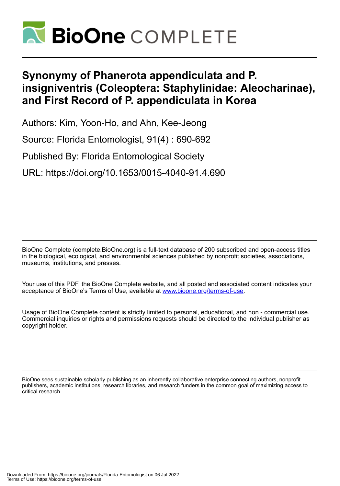

# **Synonymy of Phanerota appendiculata and P. insigniventris (Coleoptera: Staphylinidae: Aleocharinae), and First Record of P. appendiculata in Korea**

Authors: Kim, Yoon-Ho, and Ahn, Kee-Jeong

Source: Florida Entomologist, 91(4) : 690-692

Published By: Florida Entomological Society

URL: https://doi.org/10.1653/0015-4040-91.4.690

BioOne Complete (complete.BioOne.org) is a full-text database of 200 subscribed and open-access titles in the biological, ecological, and environmental sciences published by nonprofit societies, associations, museums, institutions, and presses.

Your use of this PDF, the BioOne Complete website, and all posted and associated content indicates your acceptance of BioOne's Terms of Use, available at www.bioone.org/terms-of-use.

Usage of BioOne Complete content is strictly limited to personal, educational, and non - commercial use. Commercial inquiries or rights and permissions requests should be directed to the individual publisher as copyright holder.

BioOne sees sustainable scholarly publishing as an inherently collaborative enterprise connecting authors, nonprofit publishers, academic institutions, research libraries, and research funders in the common goal of maximizing access to critical research.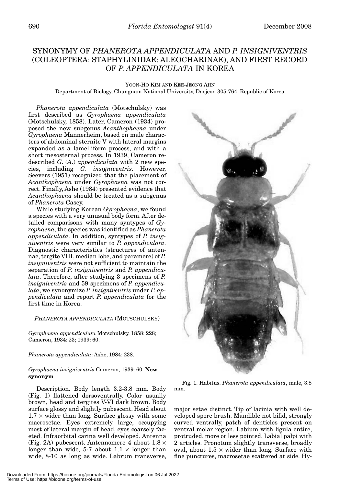# SYNONYMY OF *PHANEROTA APPENDICULATA* AND *P. INSIGNIVENTRIS* (COLEOPTERA: STAPHYLINIDAE: ALEOCHARINAE), AND FIRST RECORD OF *P. APPENDICULATA* IN KOREA

#### YOON-HO KIM AND KEE-JEONG AHN Department of Biology, Chungnam National University, Daejeon 305-764, Republic of Korea

*Phanerota appendiculata* (Motschulsky) was first described as *Gyrophaena appendiculata* (Motschulsky, 1858). Later, Cameron (1934) proposed the new subgenus *Acanthophaena* under *Gyrophaena* Mannerheim, based on male characters of abdominal sternite V with lateral margins expanded as a lamelliform process, and with a short mesosternal process. In 1939, Cameron redescribed *G*. (*A*.) *appendiculata* with 2 new species, including *G. insigniventris*. However, Seevers (1951) recognized that the placement of *Acanthophaena* under *Gyrophaena* was not correct. Finally, Ashe (1984) presented evidence that *Acanthophaena* should be treated as a subgenus of *Phanerota* Casey.

While studying Korean *Gyrophaena*, we found a species with a very unusual body form. After detailed comparisons with many syntypes of *Gyrophaena*, the species was identified as *Phanerota appendiculata*. In addition, syntypes of *P. insigniventris* were very similar to *P. appendiculata*. Diagnostic characteristics (structures of antennae, tergite VIII, median lobe, and paramere) of *P. insigniventris* were not sufficient to maintain the separation of *P. insigniventris* and *P. appendiculata*. Therefore, after studying 3 specimens of *P. insigniventris* and 59 specimens of *P. appendiculata*, we synonymize *P. insigniventris* under *P. appendiculata* and report *P. appendiculata* for the first time in Korea.

# *PHANEROTA APPENDICULATA* (MOTSCHULSKY)

*Gyrophaena appendiculata* Motschulsky, 1858: 228; Cameron, 1934: 23; 1939: 60.

# *Phanerota appendiculata*: Ashe, 1984: 238.

#### *Gyrophaena insigniventris* Cameron, 1939: 60. **New synonym**

Description. Body length 3.2-3.8 mm. Body (Fig. 1) flattened dorsoventrally. Color usually brown, head and tergites V-VI dark brown. Body surface glossy and slightly pubescent. Head about  $1.7 \times$  wider than long. Surface glossy with some macrosetae. Eyes extremely large, occupying most of lateral margin of head, eyes coarsely faceted. Infraorbital carina well developed. Antenna (Fig. 2A) pubescent. Antennomere 4 about  $1.8 \times$ longer than wide, 5-7 about  $1.1 \times$  longer than wide, 8-10 as long as wide. Labrum transverse,



Fig. 1. Habitus. *Phanerota appendiculata*, male, 3.8 mm.

major setae distinct. Tip of lacinia with well developed spore brush. Mandible not bifid, strongly curved ventrally, patch of denticles present on ventral molar region. Labium with ligula entire, protruded, more or less pointed. Labial palpi with 2 articles. Pronotum slightly transverse, broadly oval, about  $1.5 \times$  wider than long. Surface with fine punctures, macrosetae scattered at side. Hy-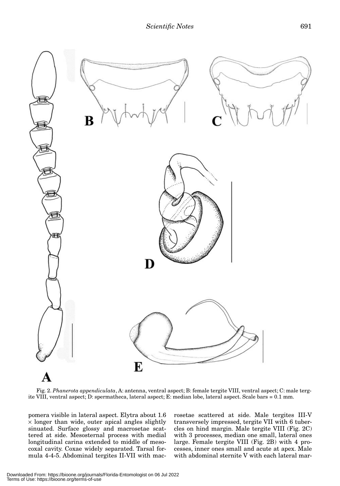

Fig. 2. *Phanerota appendiculata*, A: antenna, ventral aspect; B: female tergite VIII, ventral aspect; C: male tergite VIII, ventral aspect; D: spermatheca, lateral aspect; E: median lobe, lateral aspect. Scale bars = 0.1 mm.

pomera visible in lateral aspect. Elytra about 1.6  $\times$  longer than wide, outer apical angles slightly sinuated. Surface glossy and macrosetae scattered at side. Mesosternal process with medial longitudinal carina extended to middle of mesocoxal cavity. Coxae widely separated. Tarsal formula 4-4-5. Abdominal tergites II-VII with macrosetae scattered at side. Male tergites III-V transversely impressed, tergite VII with 6 tubercles on hind margin. Male tergite VIII (Fig. 2C) with 3 processes, median one small, lateral ones large. Female tergite VIII (Fig. 2B) with 4 processes, inner ones small and acute at apex. Male with abdominal sternite V with each lateral mar